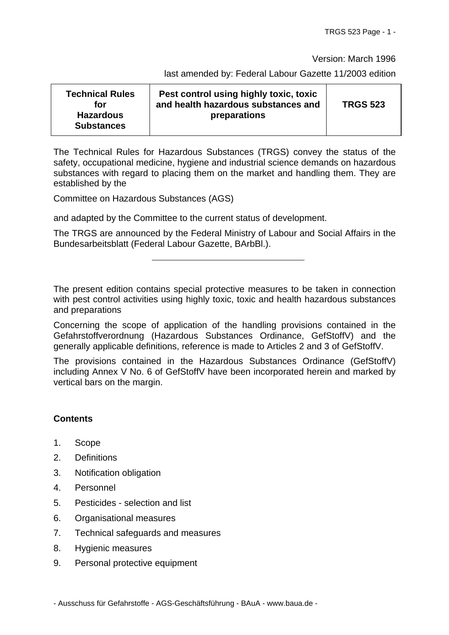Version: March 1996

last amended by: Federal Labour Gazette 11/2003 edition

| <b>Technical Rules</b><br>for         | Pest control using highly toxic, toxic<br>and health hazardous substances and | <b>TRGS 523</b> |
|---------------------------------------|-------------------------------------------------------------------------------|-----------------|
| <b>Hazardous</b><br><b>Substances</b> | preparations                                                                  |                 |

The Technical Rules for Hazardous Substances (TRGS) convey the status of the safety, occupational medicine, hygiene and industrial science demands on hazardous substances with regard to placing them on the market and handling them. They are established by the

Committee on Hazardous Substances (AGS)

and adapted by the Committee to the current status of development.

The TRGS are announced by the Federal Ministry of Labour and Social Affairs in the Bundesarbeitsblatt (Federal Labour Gazette, BArbBl.).

The present edition contains special protective measures to be taken in connection with pest control activities using highly toxic, toxic and health hazardous substances and preparations

Concerning the scope of application of the handling provisions contained in the Gefahrstoffverordnung (Hazardous Substances Ordinance, GefStoffV) and the generally applicable definitions, reference is made to Articles 2 and 3 of GefStoffV.

The provisions contained in the Hazardous Substances Ordinance (GefStoffV) including Annex V No. 6 of GefStoffV have been incorporated herein and marked by vertical bars on the margin.

#### **Contents**

- 1. Scope
- 2. Definitions
- 3. Notification obligation
- 4. Personnel
- 5. Pesticides selection and list
- 6. Organisational measures
- 7. Technical safeguards and measures
- 8. Hygienic measures
- 9. Personal protective equipment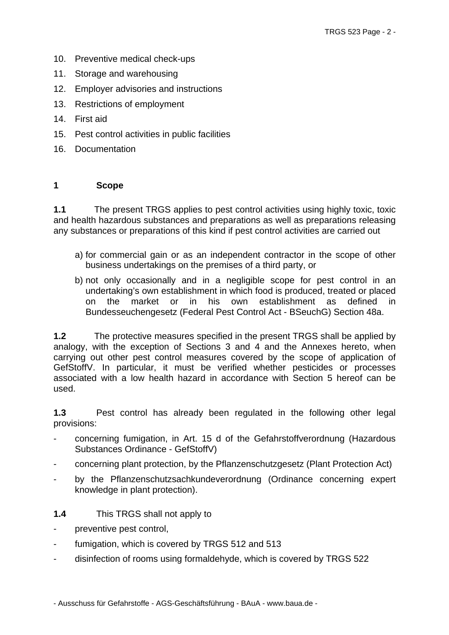- 10. Preventive medical check-ups
- 11. Storage and warehousing
- 12. Employer advisories and instructions
- 13. Restrictions of employment
- 14. First aid
- 15. Pest control activities in public facilities
- 16. Documentation

#### **1 Scope**

**1.1** The present TRGS applies to pest control activities using highly toxic, toxic and health hazardous substances and preparations as well as preparations releasing any substances or preparations of this kind if pest control activities are carried out

- a) for commercial gain or as an independent contractor in the scope of other business undertakings on the premises of a third party, or
- b) not only occasionally and in a negligible scope for pest control in an undertaking's own establishment in which food is produced, treated or placed on the market or in his own establishment as defined in Bundesseuchengesetz (Federal Pest Control Act - BSeuchG) Section 48a.

**1.2** The protective measures specified in the present TRGS shall be applied by analogy, with the exception of Sections 3 and 4 and the Annexes hereto, when carrying out other pest control measures covered by the scope of application of GefStoffV. In particular, it must be verified whether pesticides or processes associated with a low health hazard in accordance with Section 5 hereof can be used.

**1.3** Pest control has already been regulated in the following other legal provisions:

- concerning fumigation, in Art. 15 d of the Gefahrstoffverordnung (Hazardous Substances Ordinance - GefStoffV)
- concerning plant protection, by the Pflanzenschutzgesetz (Plant Protection Act)
- by the Pflanzenschutzsachkundeverordnung (Ordinance concerning expert knowledge in plant protection).
- **1.4** This TRGS shall not apply to
- preventive pest control,
- fumigation, which is covered by TRGS 512 and 513
- disinfection of rooms using formaldehyde, which is covered by TRGS 522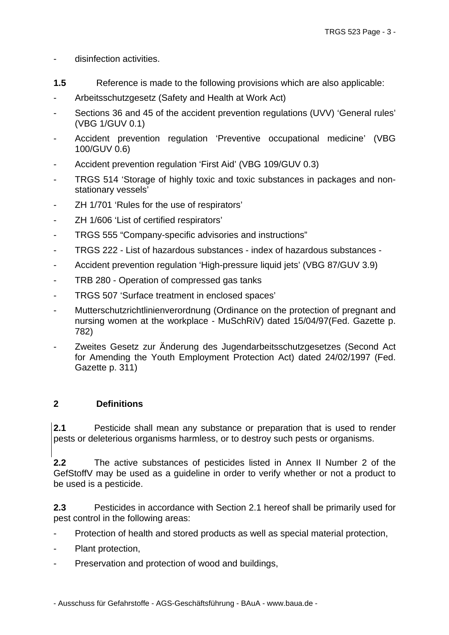#### disinfection activities.

- **1.5** Reference is made to the following provisions which are also applicable:
- Arbeitsschutzgesetz (Safety and Health at Work Act)
- Sections 36 and 45 of the accident prevention regulations (UVV) 'General rules' (VBG 1/GUV 0.1)
- Accident prevention regulation 'Preventive occupational medicine' (VBG 100/GUV 0.6)
- Accident prevention regulation 'First Aid' (VBG 109/GUV 0.3)
- TRGS 514 'Storage of highly toxic and toxic substances in packages and nonstationary vessels'
- ZH 1/701 'Rules for the use of respirators'
- ZH 1/606 'List of certified respirators'
- TRGS 555 "Company-specific advisories and instructions"
- TRGS 222 List of hazardous substances index of hazardous substances -
- Accident prevention regulation 'High-pressure liquid jets' (VBG 87/GUV 3.9)
- TRB 280 Operation of compressed gas tanks
- TRGS 507 'Surface treatment in enclosed spaces'
- Mutterschutzrichtlinienverordnung (Ordinance on the protection of pregnant and nursing women at the workplace - MuSchRiV) dated 15/04/97(Fed. Gazette p. 782)
- Zweites Gesetz zur Änderung des Jugendarbeitsschutzgesetzes (Second Act for Amending the Youth Employment Protection Act) dated 24/02/1997 (Fed. Gazette p. 311)

# **2 Definitions**

**2.1** Pesticide shall mean any substance or preparation that is used to render pests or deleterious organisms harmless, or to destroy such pests or organisms.

**2.2** The active substances of pesticides listed in Annex II Number 2 of the GefStoffV may be used as a guideline in order to verify whether or not a product to be used is a pesticide.

**2.3** Pesticides in accordance with Section 2.1 hereof shall be primarily used for pest control in the following areas:

- Protection of health and stored products as well as special material protection,
- Plant protection,
- Preservation and protection of wood and buildings,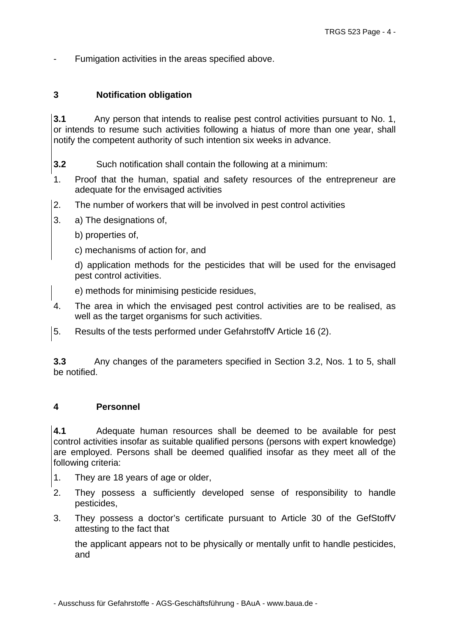Fumigation activities in the areas specified above.

#### **3 Notification obligation**

**3.1** Any person that intends to realise pest control activities pursuant to No. 1, or intends to resume such activities following a hiatus of more than one year, shall notify the competent authority of such intention six weeks in advance.

**3.2** Such notification shall contain the following at a minimum:

- 1. Proof that the human, spatial and safety resources of the entrepreneur are adequate for the envisaged activities
- 2. The number of workers that will be involved in pest control activities
- 3. a) The designations of,
	- b) properties of,
	- c) mechanisms of action for, and

d) application methods for the pesticides that will be used for the envisaged pest control activities.

e) methods for minimising pesticide residues,

- 4. The area in which the envisaged pest control activities are to be realised, as well as the target organisms for such activities.
- 5. Results of the tests performed under GefahrstoffV Article 16 (2).

**3.3** Any changes of the parameters specified in Section 3.2, Nos. 1 to 5, shall be notified.

#### **4 Personnel**

**4.1** Adequate human resources shall be deemed to be available for pest control activities insofar as suitable qualified persons (persons with expert knowledge) are employed. Persons shall be deemed qualified insofar as they meet all of the following criteria:

- 1. They are 18 years of age or older,
- 2. They possess a sufficiently developed sense of responsibility to handle pesticides,
- 3. They possess a doctor's certificate pursuant to Article 30 of the GefStoffV attesting to the fact that

the applicant appears not to be physically or mentally unfit to handle pesticides, and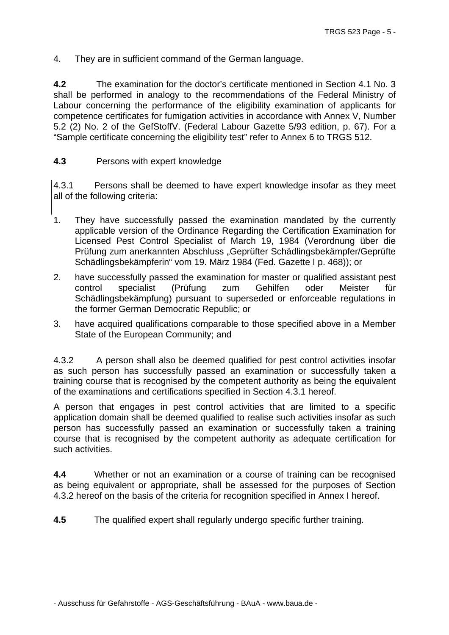4. They are in sufficient command of the German language.

**4.2** The examination for the doctor's certificate mentioned in Section 4.1 No. 3 shall be performed in analogy to the recommendations of the Federal Ministry of Labour concerning the performance of the eligibility examination of applicants for competence certificates for fumigation activities in accordance with Annex V, Number 5.2 (2) No. 2 of the GefStoffV. (Federal Labour Gazette 5/93 edition, p. 67). For a "Sample certificate concerning the eligibility test" refer to Annex 6 to TRGS 512.

## **4.3** Persons with expert knowledge

4.3.1 Persons shall be deemed to have expert knowledge insofar as they meet all of the following criteria:

- 1. They have successfully passed the examination mandated by the currently applicable version of the Ordinance Regarding the Certification Examination for Licensed Pest Control Specialist of March 19, 1984 (Verordnung über die Prüfung zum anerkannten Abschluss "Geprüfter Schädlingsbekämpfer/Geprüfte Schädlingsbekämpferin" vom 19. März 1984 (Fed. Gazette I p. 468)); or
- 2. have successfully passed the examination for master or qualified assistant pest control specialist (Prüfung zum Gehilfen oder Meister für Schädlingsbekämpfung) pursuant to superseded or enforceable regulations in the former German Democratic Republic; or
- 3. have acquired qualifications comparable to those specified above in a Member State of the European Community; and

4.3.2 A person shall also be deemed qualified for pest control activities insofar as such person has successfully passed an examination or successfully taken a training course that is recognised by the competent authority as being the equivalent of the examinations and certifications specified in Section 4.3.1 hereof.

A person that engages in pest control activities that are limited to a specific application domain shall be deemed qualified to realise such activities insofar as such person has successfully passed an examination or successfully taken a training course that is recognised by the competent authority as adequate certification for such activities.

**4.4** Whether or not an examination or a course of training can be recognised as being equivalent or appropriate, shall be assessed for the purposes of Section 4.3.2 hereof on the basis of the criteria for recognition specified in Annex I hereof.

**4.5** The qualified expert shall regularly undergo specific further training.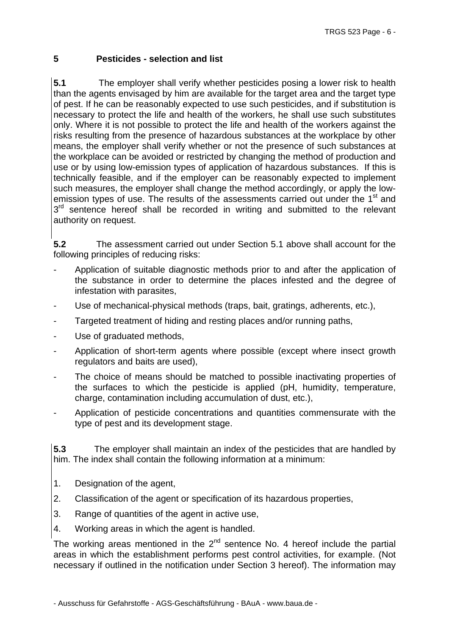# **5 Pesticides - selection and list**

**5.1** The employer shall verify whether pesticides posing a lower risk to health than the agents envisaged by him are available for the target area and the target type of pest. If he can be reasonably expected to use such pesticides, and if substitution is necessary to protect the life and health of the workers, he shall use such substitutes only. Where it is not possible to protect the life and health of the workers against the risks resulting from the presence of hazardous substances at the workplace by other means, the employer shall verify whether or not the presence of such substances at the workplace can be avoided or restricted by changing the method of production and use or by using low-emission types of application of hazardous substances. If this is technically feasible, and if the employer can be reasonably expected to implement such measures, the employer shall change the method accordingly, or apply the lowemission types of use. The results of the assessments carried out under the 1<sup>st</sup> and  $3<sup>rd</sup>$  sentence hereof shall be recorded in writing and submitted to the relevant authority on request.

**5.2** The assessment carried out under Section 5.1 above shall account for the following principles of reducing risks:

- Application of suitable diagnostic methods prior to and after the application of the substance in order to determine the places infested and the degree of infestation with parasites,
- Use of mechanical-physical methods (traps, bait, gratings, adherents, etc.),
- Targeted treatment of hiding and resting places and/or running paths,
- Use of graduated methods,
- Application of short-term agents where possible (except where insect growth regulators and baits are used),
- The choice of means should be matched to possible inactivating properties of the surfaces to which the pesticide is applied (pH, humidity, temperature, charge, contamination including accumulation of dust, etc.),
- Application of pesticide concentrations and quantities commensurate with the type of pest and its development stage.

**5.3** The employer shall maintain an index of the pesticides that are handled by him. The index shall contain the following information at a minimum:

- 1. Designation of the agent,
- 2. Classification of the agent or specification of its hazardous properties,
- 3. Range of quantities of the agent in active use,
- 4. Working areas in which the agent is handled.

The working areas mentioned in the  $2<sup>nd</sup>$  sentence No. 4 hereof include the partial areas in which the establishment performs pest control activities, for example. (Not necessary if outlined in the notification under Section 3 hereof). The information may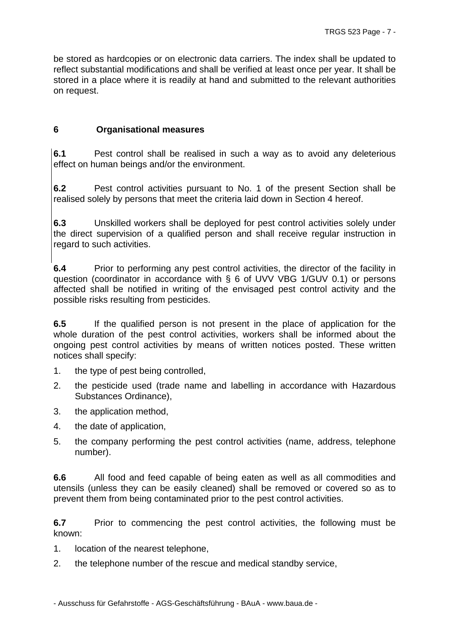be stored as hardcopies or on electronic data carriers. The index shall be updated to reflect substantial modifications and shall be verified at least once per year. It shall be stored in a place where it is readily at hand and submitted to the relevant authorities on request.

## **6 Organisational measures**

**6.1** Pest control shall be realised in such a way as to avoid any deleterious effect on human beings and/or the environment.

**6.2** Pest control activities pursuant to No. 1 of the present Section shall be realised solely by persons that meet the criteria laid down in Section 4 hereof.

**6.3** Unskilled workers shall be deployed for pest control activities solely under the direct supervision of a qualified person and shall receive regular instruction in regard to such activities.

**6.4** Prior to performing any pest control activities, the director of the facility in question (coordinator in accordance with § 6 of UVV VBG 1/GUV 0.1) or persons affected shall be notified in writing of the envisaged pest control activity and the possible risks resulting from pesticides.

**6.5** If the qualified person is not present in the place of application for the whole duration of the pest control activities, workers shall be informed about the ongoing pest control activities by means of written notices posted. These written notices shall specify:

- 1. the type of pest being controlled,
- 2. the pesticide used (trade name and labelling in accordance with Hazardous Substances Ordinance),
- 3. the application method,
- 4. the date of application,
- 5. the company performing the pest control activities (name, address, telephone number).

**6.6** All food and feed capable of being eaten as well as all commodities and utensils (unless they can be easily cleaned) shall be removed or covered so as to prevent them from being contaminated prior to the pest control activities.

**6.7** Prior to commencing the pest control activities, the following must be known:

1. location of the nearest telephone,

2. the telephone number of the rescue and medical standby service,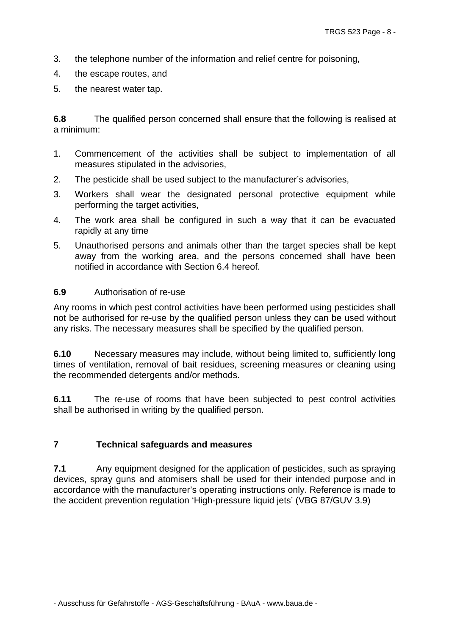- 3. the telephone number of the information and relief centre for poisoning,
- 4. the escape routes, and
- 5. the nearest water tap.

**6.8** The qualified person concerned shall ensure that the following is realised at a minimum:

- 1. Commencement of the activities shall be subject to implementation of all measures stipulated in the advisories,
- 2. The pesticide shall be used subject to the manufacturer's advisories,
- 3. Workers shall wear the designated personal protective equipment while performing the target activities,
- 4. The work area shall be configured in such a way that it can be evacuated rapidly at any time
- 5. Unauthorised persons and animals other than the target species shall be kept away from the working area, and the persons concerned shall have been notified in accordance with Section 6.4 hereof.

#### **6.9** Authorisation of re-use

Any rooms in which pest control activities have been performed using pesticides shall not be authorised for re-use by the qualified person unless they can be used without any risks. The necessary measures shall be specified by the qualified person.

**6.10** Necessary measures may include, without being limited to, sufficiently long times of ventilation, removal of bait residues, screening measures or cleaning using the recommended detergents and/or methods.

**6.11** The re-use of rooms that have been subjected to pest control activities shall be authorised in writing by the qualified person.

# **7 Technical safeguards and measures**

**7.1** Any equipment designed for the application of pesticides, such as spraying devices, spray guns and atomisers shall be used for their intended purpose and in accordance with the manufacturer's operating instructions only. Reference is made to the accident prevention regulation 'High-pressure liquid jets' (VBG 87/GUV 3.9)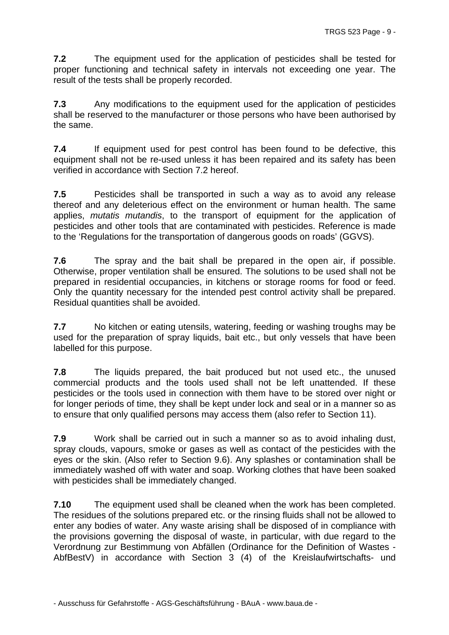**7.2** The equipment used for the application of pesticides shall be tested for proper functioning and technical safety in intervals not exceeding one year. The result of the tests shall be properly recorded.

**7.3** Any modifications to the equipment used for the application of pesticides shall be reserved to the manufacturer or those persons who have been authorised by the same.

**7.4** If equipment used for pest control has been found to be defective, this equipment shall not be re-used unless it has been repaired and its safety has been verified in accordance with Section 7.2 hereof.

**7.5** Pesticides shall be transported in such a way as to avoid any release thereof and any deleterious effect on the environment or human health. The same applies, *mutatis mutandis*, to the transport of equipment for the application of pesticides and other tools that are contaminated with pesticides. Reference is made to the 'Regulations for the transportation of dangerous goods on roads' (GGVS).

**7.6** The spray and the bait shall be prepared in the open air, if possible. Otherwise, proper ventilation shall be ensured. The solutions to be used shall not be prepared in residential occupancies, in kitchens or storage rooms for food or feed. Only the quantity necessary for the intended pest control activity shall be prepared. Residual quantities shall be avoided.

**7.7** No kitchen or eating utensils, watering, feeding or washing troughs may be used for the preparation of spray liquids, bait etc., but only vessels that have been labelled for this purpose.

**7.8** The liquids prepared, the bait produced but not used etc., the unused commercial products and the tools used shall not be left unattended. If these pesticides or the tools used in connection with them have to be stored over night or for longer periods of time, they shall be kept under lock and seal or in a manner so as to ensure that only qualified persons may access them (also refer to Section 11).

**7.9** Work shall be carried out in such a manner so as to avoid inhaling dust, spray clouds, vapours, smoke or gases as well as contact of the pesticides with the eyes or the skin. (Also refer to Section 9.6). Any splashes or contamination shall be immediately washed off with water and soap. Working clothes that have been soaked with pesticides shall be immediately changed.

**7.10** The equipment used shall be cleaned when the work has been completed. The residues of the solutions prepared etc. or the rinsing fluids shall not be allowed to enter any bodies of water. Any waste arising shall be disposed of in compliance with the provisions governing the disposal of waste, in particular, with due regard to the Verordnung zur Bestimmung von Abfällen (Ordinance for the Definition of Wastes - AbfBestV) in accordance with Section 3 (4) of the Kreislaufwirtschafts- und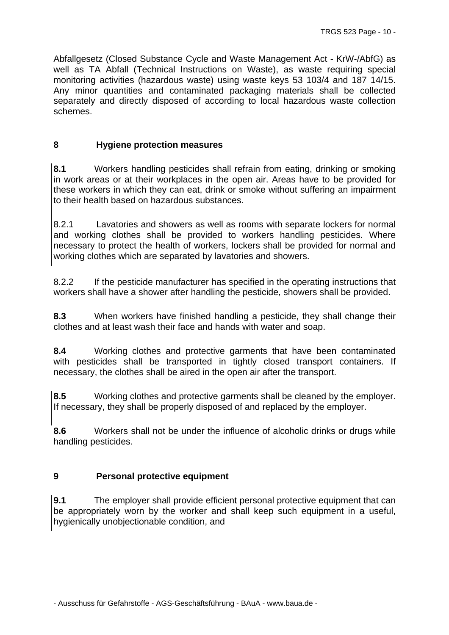Abfallgesetz (Closed Substance Cycle and Waste Management Act - KrW-/AbfG) as well as TA Abfall (Technical Instructions on Waste), as waste requiring special monitoring activities (hazardous waste) using waste keys 53 103/4 and 187 14/15. Any minor quantities and contaminated packaging materials shall be collected separately and directly disposed of according to local hazardous waste collection schemes.

# **8 Hygiene protection measures**

**8.1** Workers handling pesticides shall refrain from eating, drinking or smoking in work areas or at their workplaces in the open air. Areas have to be provided for these workers in which they can eat, drink or smoke without suffering an impairment to their health based on hazardous substances.

8.2.1 Lavatories and showers as well as rooms with separate lockers for normal and working clothes shall be provided to workers handling pesticides. Where necessary to protect the health of workers, lockers shall be provided for normal and working clothes which are separated by lavatories and showers.

8.2.2 If the pesticide manufacturer has specified in the operating instructions that workers shall have a shower after handling the pesticide, showers shall be provided.

**8.3** When workers have finished handling a pesticide, they shall change their clothes and at least wash their face and hands with water and soap.

**8.4** Working clothes and protective garments that have been contaminated with pesticides shall be transported in tightly closed transport containers. If necessary, the clothes shall be aired in the open air after the transport.

**8.5** Working clothes and protective garments shall be cleaned by the employer. If necessary, they shall be properly disposed of and replaced by the employer.

**8.6** Workers shall not be under the influence of alcoholic drinks or drugs while handling pesticides.

# **9 Personal protective equipment**

**9.1** The employer shall provide efficient personal protective equipment that can be appropriately worn by the worker and shall keep such equipment in a useful, hygienically unobjectionable condition, and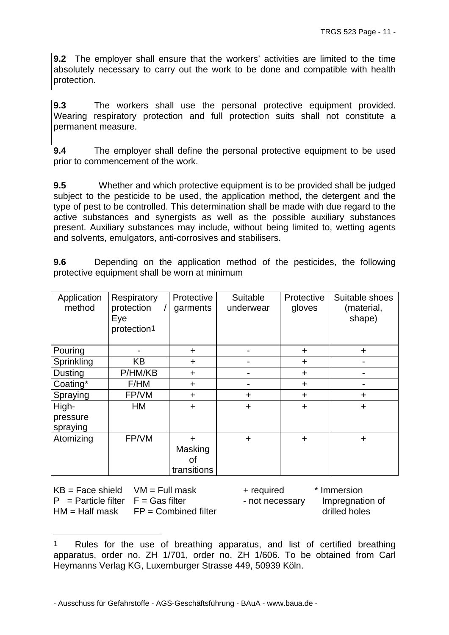**9.2** The employer shall ensure that the workers' activities are limited to the time absolutely necessary to carry out the work to be done and compatible with health protection.

**9.3** The workers shall use the personal protective equipment provided. Wearing respiratory protection and full protection suits shall not constitute a permanent measure.

**9.4** The employer shall define the personal protective equipment to be used prior to commencement of the work.

**9.5** Whether and which protective equipment is to be provided shall be judged subject to the pesticide to be used, the application method, the detergent and the type of pest to be controlled. This determination shall be made with due regard to the active substances and synergists as well as the possible auxiliary substances present. Auxiliary substances may include, without being limited to, wetting agents and solvents, emulgators, anti-corrosives and stabilisers.

**9.6** Depending on the application method of the pesticides, the following protective equipment shall be worn at minimum

| Application<br>method         | Respiratory<br>protection<br>Eye<br>protection <sup>1</sup> | Protective<br>garments                    | Suitable<br>underwear | Protective<br>gloves | Suitable shoes<br>(material,<br>shape) |
|-------------------------------|-------------------------------------------------------------|-------------------------------------------|-----------------------|----------------------|----------------------------------------|
| Pouring                       |                                                             | $\ddot{}$                                 |                       | $\ddot{}$            | ÷                                      |
| Sprinkling                    | <b>KB</b>                                                   | $\ddot{}$                                 | $\blacksquare$        | $\ddot{}$            |                                        |
| <b>Dusting</b>                | P/HM/KB                                                     | $\pm$                                     |                       | $\ddot{}$            |                                        |
| Coating*                      | F/HM                                                        | $\ddot{}$                                 |                       | $\ddot{}$            |                                        |
| Spraying                      | FP/VM                                                       | $\ddot{}$                                 | +                     | $\ddot{}$            | ÷                                      |
| High-<br>pressure<br>spraying | HM                                                          | $\ddot{}$                                 | $\ddot{}$             | $\ddot{}$            | $\ddot{}$                              |
| Atomizing                     | FP/VM                                                       | $\ddot{}$<br>Masking<br>οf<br>transitions | $\ddot{}$             | $\ddot{}$            | $\ddot{}$                              |

| $KB = Face shield$ $VM = Full mask$    |                                         | + required      | * Immersion     |
|----------------------------------------|-----------------------------------------|-----------------|-----------------|
| $P =$ Particle filter $F =$ Gas filter |                                         | - not necessary | Impregnation of |
|                                        | $HM = Half$ mask $FP = Combined$ filter |                 | drilled holes   |

<span id="page-10-0"></span><sup>1</sup> Rules for the use of breathing apparatus, and list of certified breathing apparatus, order no. ZH 1/701, order no. ZH 1/606. To be obtained from Carl Heymanns Verlag KG, Luxemburger Strasse 449, 50939 Köln.

l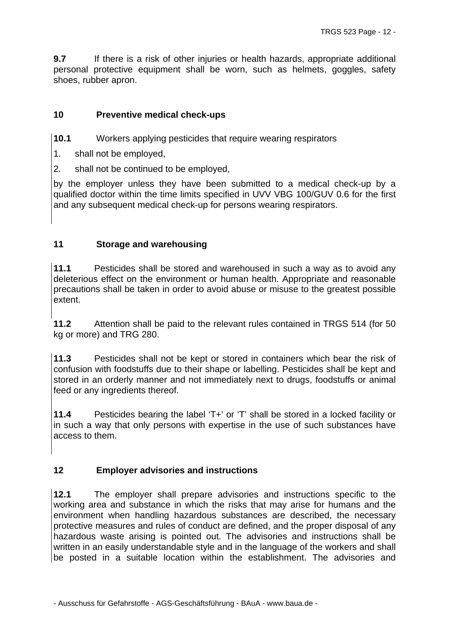**9.7** If there is a risk of other injuries or health hazards, appropriate additional personal protective equipment shall be worn, such as helmets, goggles, safety shoes, rubber apron.

# **10 Preventive medical check-ups**

**10.1** Workers applying pesticides that require wearing respirators

- 1. shall not be employed,
- 2. shall not be continued to be employed,

by the employer unless they have been submitted to a medical check-up by a qualified doctor within the time limits specified in UVV VBG 100/GUV 0.6 for the first and any subsequent medical check-up for persons wearing respirators.

# **11 Storage and warehousing**

**11.1** Pesticides shall be stored and warehoused in such a way as to avoid any deleterious effect on the environment or human health. Appropriate and reasonable precautions shall be taken in order to avoid abuse or misuse to the greatest possible extent.

**11.2** Attention shall be paid to the relevant rules contained in TRGS 514 (for 50 kg or more) and TRG 280.

**11.3** Pesticides shall not be kept or stored in containers which bear the risk of confusion with foodstuffs due to their shape or labelling. Pesticides shall be kept and stored in an orderly manner and not immediately next to drugs, foodstuffs or animal feed or any ingredients thereof.

**11.4** Pesticides bearing the label 'T+' or 'T' shall be stored in a locked facility or in such a way that only persons with expertise in the use of such substances have access to them.

# **12 Employer advisories and instructions**

**12.1** The employer shall prepare advisories and instructions specific to the working area and substance in which the risks that may arise for humans and the environment when handling hazardous substances are described, the necessary protective measures and rules of conduct are defined, and the proper disposal of any hazardous waste arising is pointed out. The advisories and instructions shall be written in an easily understandable style and in the language of the workers and shall be posted in a suitable location within the establishment. The advisories and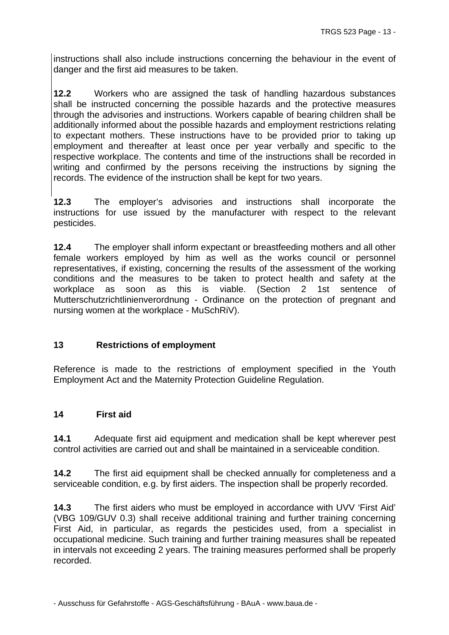instructions shall also include instructions concerning the behaviour in the event of danger and the first aid measures to be taken.

**12.2** Workers who are assigned the task of handling hazardous substances shall be instructed concerning the possible hazards and the protective measures through the advisories and instructions. Workers capable of bearing children shall be additionally informed about the possible hazards and employment restrictions relating to expectant mothers. These instructions have to be provided prior to taking up employment and thereafter at least once per year verbally and specific to the respective workplace. The contents and time of the instructions shall be recorded in writing and confirmed by the persons receiving the instructions by signing the records. The evidence of the instruction shall be kept for two years.

**12.3** The employer's advisories and instructions shall incorporate the instructions for use issued by the manufacturer with respect to the relevant pesticides.

**12.4** The employer shall inform expectant or breastfeeding mothers and all other female workers employed by him as well as the works council or personnel representatives, if existing, concerning the results of the assessment of the working conditions and the measures to be taken to protect health and safety at the workplace as soon as this is viable. (Section 2 1st sentence of Mutterschutzrichtlinienverordnung - Ordinance on the protection of pregnant and nursing women at the workplace - MuSchRiV).

#### **13 Restrictions of employment**

Reference is made to the restrictions of employment specified in the Youth Employment Act and the Maternity Protection Guideline Regulation.

#### **14 First aid**

**14.1** Adequate first aid equipment and medication shall be kept wherever pest control activities are carried out and shall be maintained in a serviceable condition.

**14.2** The first aid equipment shall be checked annually for completeness and a serviceable condition, e.g. by first aiders. The inspection shall be properly recorded.

**14.3** The first aiders who must be employed in accordance with UVV 'First Aid' (VBG 109/GUV 0.3) shall receive additional training and further training concerning First Aid, in particular, as regards the pesticides used, from a specialist in occupational medicine. Such training and further training measures shall be repeated in intervals not exceeding 2 years. The training measures performed shall be properly recorded.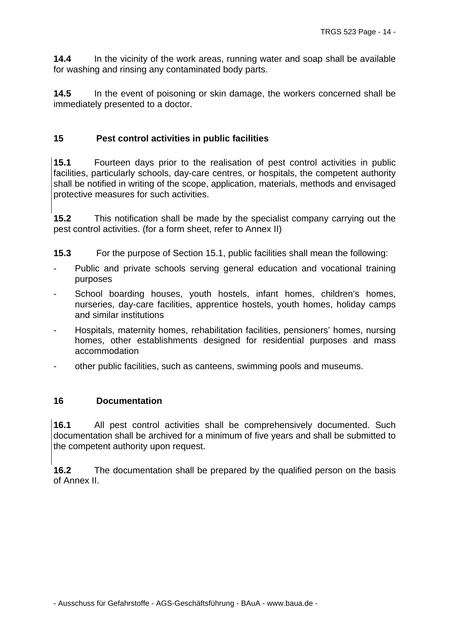**14.4** In the vicinity of the work areas, running water and soap shall be available for washing and rinsing any contaminated body parts.

**14.5** In the event of poisoning or skin damage, the workers concerned shall be immediately presented to a doctor.

## **15 Pest control activities in public facilities**

**15.1** Fourteen days prior to the realisation of pest control activities in public facilities, particularly schools, day-care centres, or hospitals, the competent authority shall be notified in writing of the scope, application, materials, methods and envisaged protective measures for such activities.

**15.2** This notification shall be made by the specialist company carrying out the pest control activities. (for a form sheet, refer to Annex II)

**15.3** For the purpose of Section 15.1, public facilities shall mean the following:

- Public and private schools serving general education and vocational training purposes
- School boarding houses, youth hostels, infant homes, children's homes, nurseries, day-care facilities, apprentice hostels, youth homes, holiday camps and similar institutions
- Hospitals, maternity homes, rehabilitation facilities, pensioners' homes, nursing homes, other establishments designed for residential purposes and mass accommodation
- other public facilities, such as canteens, swimming pools and museums.

#### **16 Documentation**

**16.1** All pest control activities shall be comprehensively documented. Such documentation shall be archived for a minimum of five years and shall be submitted to the competent authority upon request.

**16.2** The documentation shall be prepared by the qualified person on the basis of Annex II.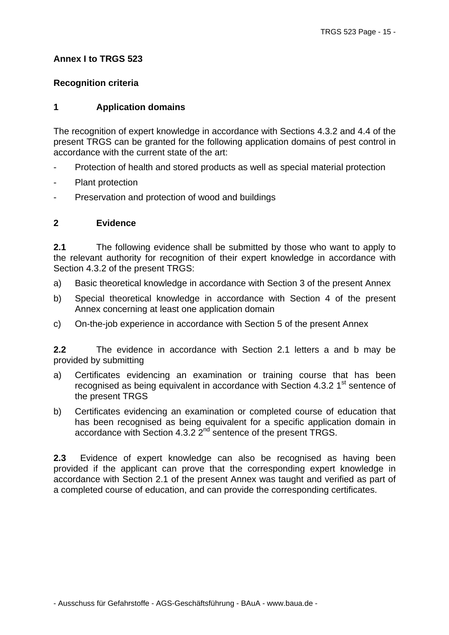## **Annex I to TRGS 523**

## **Recognition criteria**

## **1 Application domains**

The recognition of expert knowledge in accordance with Sections 4.3.2 and 4.4 of the present TRGS can be granted for the following application domains of pest control in accordance with the current state of the art:

- Protection of health and stored products as well as special material protection
- Plant protection
- Preservation and protection of wood and buildings

## **2 Evidence**

**2.1** The following evidence shall be submitted by those who want to apply to the relevant authority for recognition of their expert knowledge in accordance with Section 4.3.2 of the present TRGS:

- a) Basic theoretical knowledge in accordance with Section 3 of the present Annex
- b) Special theoretical knowledge in accordance with Section 4 of the present Annex concerning at least one application domain
- c) On-the-job experience in accordance with Section 5 of the present Annex

**2.2** The evidence in accordance with Section 2.1 letters a and b may be provided by submitting

- a) Certificates evidencing an examination or training course that has been recognised as being equivalent in accordance with Section 4.3.2  $1<sup>st</sup>$  sentence of the present TRGS
- b) Certificates evidencing an examination or completed course of education that has been recognised as being equivalent for a specific application domain in accordance with Section 4.3.2 2<sup>nd</sup> sentence of the present TRGS.

**2.3** Evidence of expert knowledge can also be recognised as having been provided if the applicant can prove that the corresponding expert knowledge in accordance with Section 2.1 of the present Annex was taught and verified as part of a completed course of education, and can provide the corresponding certificates.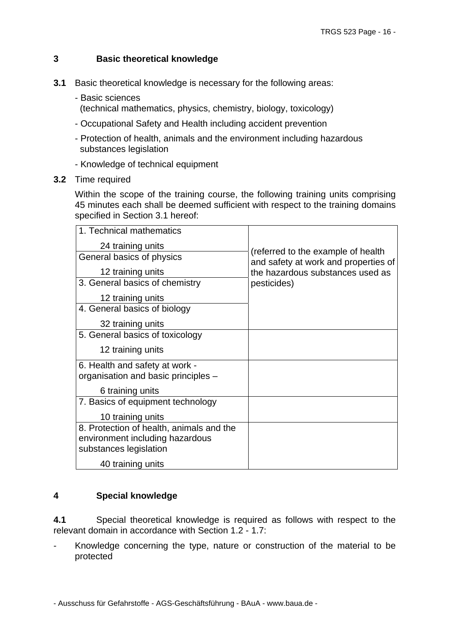## **3 Basic theoretical knowledge**

- **3.1** Basic theoretical knowledge is necessary for the following areas:
	- Basic sciences (technical mathematics, physics, chemistry, biology, toxicology)
	- Occupational Safety and Health including accident prevention
	- Protection of health, animals and the environment including hazardous substances legislation
	- Knowledge of technical equipment
- **3.2** Time required

Within the scope of the training course, the following training units comprising 45 minutes each shall be deemed sufficient with respect to the training domains specified in Section 3.1 hereof:

| 1. Technical mathematics                                                                              |                                                                            |
|-------------------------------------------------------------------------------------------------------|----------------------------------------------------------------------------|
| 24 training units                                                                                     |                                                                            |
| General basics of physics                                                                             | (referred to the example of health<br>and safety at work and properties of |
| 12 training units                                                                                     | the hazardous substances used as                                           |
| 3. General basics of chemistry                                                                        | pesticides)                                                                |
| 12 training units                                                                                     |                                                                            |
| 4. General basics of biology                                                                          |                                                                            |
| 32 training units                                                                                     |                                                                            |
| 5. General basics of toxicology                                                                       |                                                                            |
| 12 training units                                                                                     |                                                                            |
| 6. Health and safety at work -                                                                        |                                                                            |
| organisation and basic principles -                                                                   |                                                                            |
| 6 training units                                                                                      |                                                                            |
| 7. Basics of equipment technology                                                                     |                                                                            |
| 10 training units                                                                                     |                                                                            |
| 8. Protection of health, animals and the<br>environment including hazardous<br>substances legislation |                                                                            |
| 40 training units                                                                                     |                                                                            |

# **4 Special knowledge**

**4.1** Special theoretical knowledge is required as follows with respect to the relevant domain in accordance with Section 1.2 - 1.7:

Knowledge concerning the type, nature or construction of the material to be protected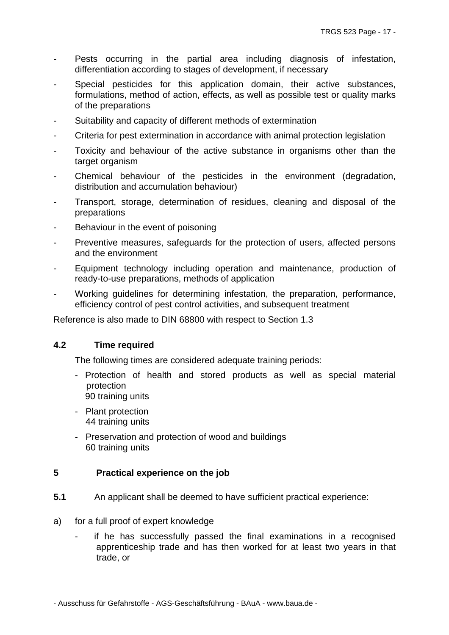- Pests occurring in the partial area including diagnosis of infestation, differentiation according to stages of development, if necessary
- Special pesticides for this application domain, their active substances, formulations, method of action, effects, as well as possible test or quality marks of the preparations
- Suitability and capacity of different methods of extermination
- Criteria for pest extermination in accordance with animal protection legislation
- Toxicity and behaviour of the active substance in organisms other than the target organism
- Chemical behaviour of the pesticides in the environment (degradation, distribution and accumulation behaviour)
- Transport, storage, determination of residues, cleaning and disposal of the preparations
- Behaviour in the event of poisoning
- Preventive measures, safeguards for the protection of users, affected persons and the environment
- Equipment technology including operation and maintenance, production of ready-to-use preparations, methods of application
- Working guidelines for determining infestation, the preparation, performance, efficiency control of pest control activities, and subsequent treatment

Reference is also made to DIN 68800 with respect to Section 1.3

#### **4.2 Time required**

The following times are considered adequate training periods:

- Protection of health and stored products as well as special material protection 90 training units
- Plant protection 44 training units
- Preservation and protection of wood and buildings 60 training units

#### **5 Practical experience on the job**

- **5.1** An applicant shall be deemed to have sufficient practical experience:
- a) for a full proof of expert knowledge
	- if he has successfully passed the final examinations in a recognised apprenticeship trade and has then worked for at least two years in that trade, or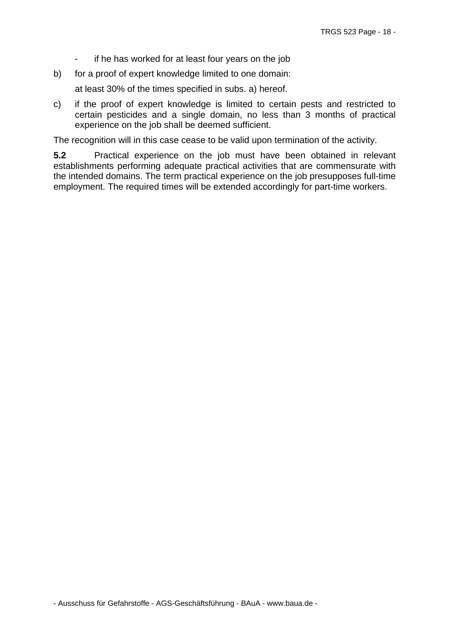- if he has worked for at least four years on the job
- b) for a proof of expert knowledge limited to one domain:

at least 30% of the times specified in subs. a) hereof.

c) if the proof of expert knowledge is limited to certain pests and restricted to certain pesticides and a single domain, no less than 3 months of practical experience on the job shall be deemed sufficient.

The recognition will in this case cease to be valid upon termination of the activity.

**5.2** Practical experience on the job must have been obtained in relevant establishments performing adequate practical activities that are commensurate with the intended domains. The term practical experience on the job presupposes full-time employment. The required times will be extended accordingly for part-time workers.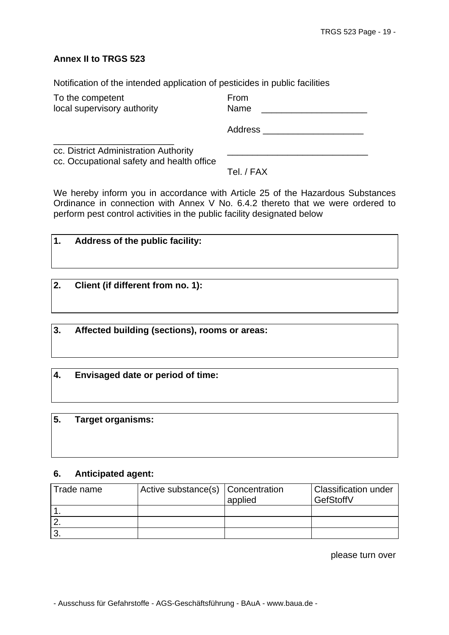#### **Annex II to TRGS 523**

Notification of the intended application of pesticides in public facilities

| To the competent                                                                   | From    |
|------------------------------------------------------------------------------------|---------|
| local supervisory authority                                                        | Name    |
|                                                                                    | Address |
| cc. District Administration Authority<br>cc. Occupational safety and health office |         |
|                                                                                    |         |

Tel. / FAX

We hereby inform you in accordance with Article 25 of the Hazardous Substances Ordinance in connection with Annex V No. 6.4.2 thereto that we were ordered to perform pest control activities in the public facility designated below

| $\mathbf{1}$ . | Address of the public facility: |
|----------------|---------------------------------|
|                |                                 |

| 2. |  | Client (if different from no. 1): |  |
|----|--|-----------------------------------|--|
|----|--|-----------------------------------|--|

**3. Affected building (sections), rooms or areas:** 

**4. Envisaged date or period of time:** 

#### **5. Target organisms:**

#### **6. Anticipated agent:**

| Trade name | Active substance(s) Concentration |         | <b>Classification under</b> |
|------------|-----------------------------------|---------|-----------------------------|
|            |                                   | applied | GefStoffV                   |
|            |                                   |         |                             |
|            |                                   |         |                             |
| $\sim$     |                                   |         |                             |

please turn over